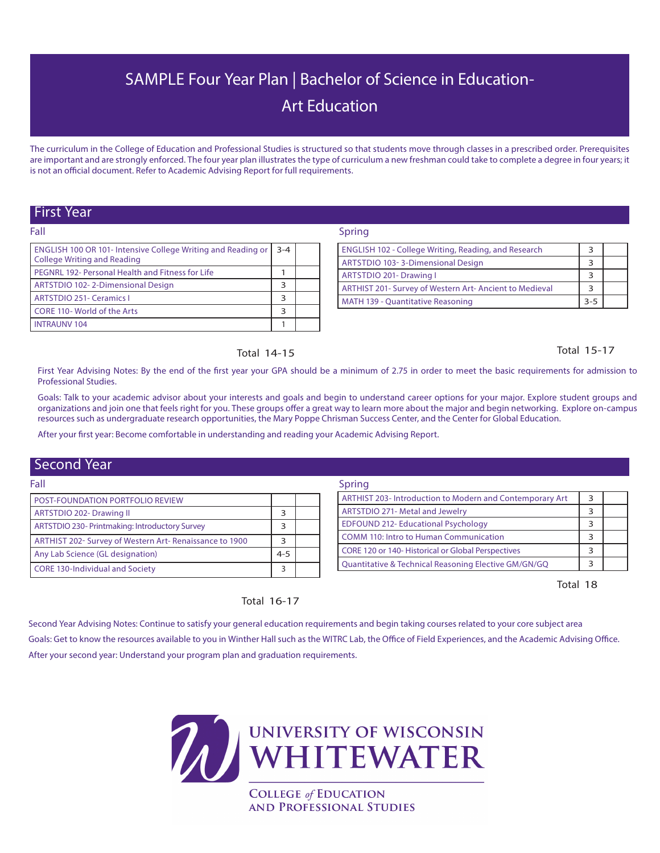# SAMPLE Four Year Plan | Bachelor of Science in Education-Art Education

The curriculum in the College of Education and Professional Studies is structured so that students move through classes in a prescribed order. Prerequisites are important and are strongly enforced. The four year plan illustrates the type of curriculum a new freshman could take to complete a degree in four years; it is not an official document. Refer to Academic Advising Report for full requirements.

# First Year

Fall

| .                                                                                                  |         |  |
|----------------------------------------------------------------------------------------------------|---------|--|
| <b>ENGLISH 100 OR 101- Intensive College Writing and Reading or</b><br>College Writing and Reading | $3 - 4$ |  |
| PEGNRL 192- Personal Health and Fitness for Life                                                   |         |  |
| ARTSTDIO 102-2-Dimensional Design                                                                  | 3       |  |
| <b>ARTSTDIO 251- Ceramics I</b>                                                                    | 3       |  |
| CORE 110- World of the Arts                                                                        | 3       |  |
| <b>INTRAUNV 104</b>                                                                                |         |  |

### Spring

| <b>ENGLISH 102 - College Writing, Reading, and Research</b> |     |  |
|-------------------------------------------------------------|-----|--|
| ARTSTDIO 103-3-Dimensional Design                           |     |  |
| ARTSTDIO 201- Drawing I                                     |     |  |
| ARTHIST 201- Survey of Western Art- Ancient to Medieval     |     |  |
| <b>MATH 139 - Quantitative Reasoning</b>                    | 3-5 |  |

# Total 15-17

First Year Advising Notes: By the end of the first year your GPA should be a minimum of 2.75 in order to meet the basic requirements for admission to Professional Studies.

Goals: Talk to your academic advisor about your interests and goals and begin to understand career options for your major. Explore student groups and organizations and join one that feels right for you. These groups offer a great way to learn more about the major and begin networking. Explore on-campus resources such as undergraduate research opportunities, the Mary Poppe Chrisman Success Center, and the Center for Global Education.

After your first year: Become comfortable in understanding and reading your Academic Advising Report.

Total 14-15

# Second Year

| Fall                                                    |         | Spring |                                                          |  |  |
|---------------------------------------------------------|---------|--------|----------------------------------------------------------|--|--|
| <b>POST-FOUNDATION PORTFOLIO REVIEW</b>                 |         |        | ARTHIST 203- Introduction to Modern and Contemporary Art |  |  |
| ARTSTDIO 202- Drawing II                                |         |        | <b>ARTSTDIO 271- Metal and Jewelry</b>                   |  |  |
| ARTSTDIO 230- Printmaking: Introductory Survey          |         |        | <b>EDFOUND 212- Educational Psychology</b>               |  |  |
| ARTHIST 202- Survey of Western Art- Renaissance to 1900 |         |        | COMM 110: Intro to Human Communication                   |  |  |
| Any Lab Science (GL designation)                        | $4 - 5$ |        | CORE 120 or 140- Historical or Global Perspectives       |  |  |
| <b>CORE 130-Individual and Society</b>                  |         |        | Quantitative & Technical Reasoning Elective GM/GN/GQ     |  |  |

Total 18

# Total 16-17

Second Year Advising Notes: Continue to satisfy your general education requirements and begin taking courses related to your core subject area Goals: Get to know the resources available to you in Winther Hall such as the WITRC Lab, the Office of Field Experiences, and the Academic Advising Office. After your second year: Understand your program plan and graduation requirements.



**AND PROFESSIONAL STUDIES**